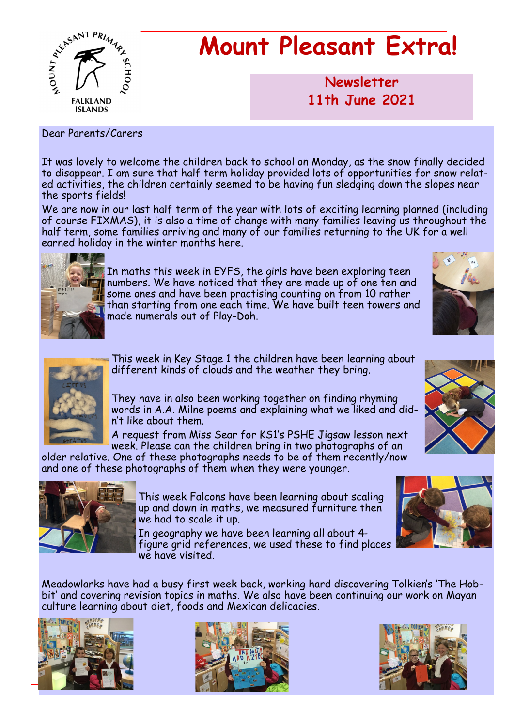

# **Mount Pleasant Extra!**

**Newsletter now 11th June 2021**

Dear Parents/Carers

It was lovely to welcome the children back to school on Monday, as the snow finally decided to disappear. I am sure that half term holiday provided lots of opportunities for snow related activities, the children certainly seemed to be having fun sledging down the slopes near the sports fields!

We are now in our last half term of the year with lots of exciting learning planned (including of course FIXMAS), it is also a time of change with many families leaving us throughout the half term, some families arriving and many of our families returning to the UK for a well earned holiday in the winter months here.



In maths this week in EYFS, the girls have been exploring teen numbers. We have noticed that they are made up of one ten and some ones and have been practising counting on from 10 rather than starting from one each time. We have built teen towers and made numerals out of Play-Doh.





This week in Key Stage 1 the children have been learning about different kinds of clouds and the weather they bring.

They have in also been working together on finding rhyming words in A.A. Milne poems and explaining what we liked and didn't like about them.

A request from Miss Sear for KS1's PSHE Jigsaw lesson next week. Please can the children bring in two photographs of an

older relative. One of these photographs needs to be of them recently/now and one of these photographs of them when they were younger.



This week Falcons have been learning about scaling up and down in maths, we measured furniture then we had to scale it up.

In geography we have been learning all about 4 figure grid references, we used these to find places we have visited.

Meadowlarks have had a busy first week back, working hard discovering Tolkien's 'The Hobbit' and covering revision topics in maths. We also have been continuing our work on Mayan culture learning about diet, foods and Mexican delicacies.